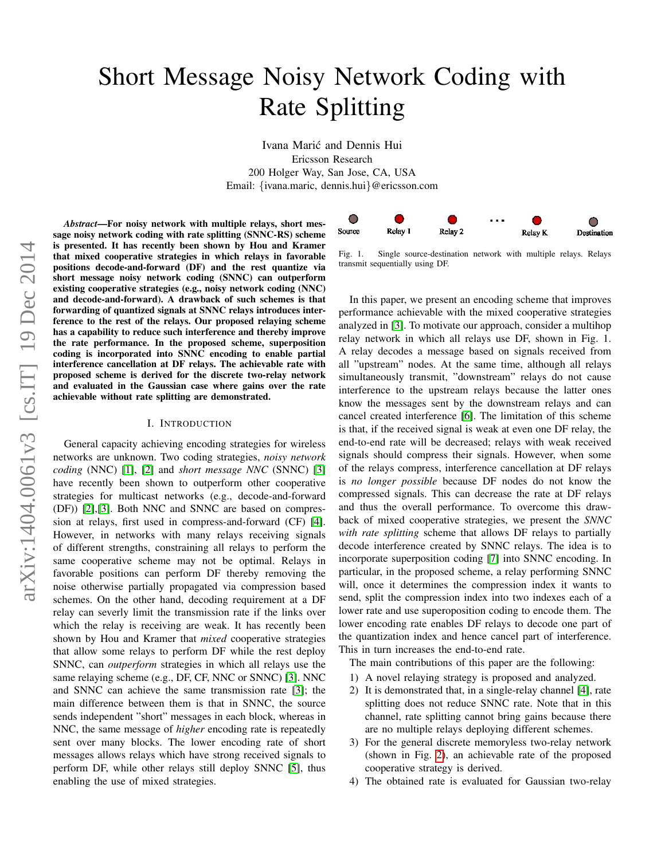# arXiv:1404.0061v3 [cs.IT] 19 Dec 2014 arXiv:1404.0061v3 [cs.IT] 19 Dec 2014

# Short Message Noisy Network Coding with Rate Splitting

Ivana Maric and Dennis Hui ´ Ericsson Research 200 Holger Way, San Jose, CA, USA Email: {ivana.maric, dennis.hui}@ericsson.com

*Abstract*—For noisy network with multiple relays, short message noisy network coding with rate splitting (SNNC-RS) scheme is presented. It has recently been shown by Hou and Kramer that mixed cooperative strategies in which relays in favorable positions decode-and-forward (DF) and the rest quantize via short message noisy network coding (SNNC) can outperform existing cooperative strategies (e.g., noisy network coding (NNC) and decode-and-forward). A drawback of such schemes is that forwarding of quantized signals at SNNC relays introduces interference to the rest of the relays. Our proposed relaying scheme has a capability to reduce such interference and thereby improve the rate performance. In the proposed scheme, superposition coding is incorporated into SNNC encoding to enable partial interference cancellation at DF relays. The achievable rate with proposed scheme is derived for the discrete two-relay network and evaluated in the Gaussian case where gains over the rate achievable without rate splitting are demonstrated.

### I. INTRODUCTION

General capacity achieving encoding strategies for wireless networks are unknown. Two coding strategies, *noisy network coding* (NNC) [\[1\]](#page-4-0), [\[2\]](#page-4-1) and *short message NNC* (SNNC) [\[3\]](#page-4-2) have recently been shown to outperform other cooperative strategies for multicast networks (e.g., decode-and-forward (DF)) [\[2\]](#page-4-1),[\[3\]](#page-4-2). Both NNC and SNNC are based on compression at relays, first used in compress-and-forward (CF) [\[4\]](#page-4-3). However, in networks with many relays receiving signals of different strengths, constraining all relays to perform the same cooperative scheme may not be optimal. Relays in favorable positions can perform DF thereby removing the noise otherwise partially propagated via compression based schemes. On the other hand, decoding requirement at a DF relay can severly limit the transmission rate if the links over which the relay is receiving are weak. It has recently been shown by Hou and Kramer that *mixed* cooperative strategies that allow some relays to perform DF while the rest deploy SNNC, can *outperform* strategies in which all relays use the same relaying scheme (e.g., DF, CF, NNC or SNNC) [\[3\]](#page-4-2). NNC and SNNC can achieve the same transmission rate [\[3\]](#page-4-2); the main difference between them is that in SNNC, the source sends independent "short" messages in each block, whereas in NNC, the same message of *higher* encoding rate is repeatedly sent over many blocks. The lower encoding rate of short messages allows relays which have strong received signals to perform DF, while other relays still deploy SNNC [\[5\]](#page-4-4), thus enabling the use of mixed strategies.



Fig. 1. Single source-destination network with multiple relays. Relays transmit sequentially using DF.

In this paper, we present an encoding scheme that improves performance achievable with the mixed cooperative strategies analyzed in [\[3\]](#page-4-2). To motivate our approach, consider a multihop relay network in which all relays use DF, shown in Fig. 1. A relay decodes a message based on signals received from all "upstream" nodes. At the same time, although all relays simultaneously transmit, "downstream" relays do not cause interference to the upstream relays because the latter ones know the messages sent by the downstream relays and can cancel created interference [\[6\]](#page-4-5). The limitation of this scheme is that, if the received signal is weak at even one DF relay, the end-to-end rate will be decreased; relays with weak received signals should compress their signals. However, when some of the relays compress, interference cancellation at DF relays is *no longer possible* because DF nodes do not know the compressed signals. This can decrease the rate at DF relays and thus the overall performance. To overcome this drawback of mixed cooperative strategies, we present the *SNNC with rate splitting* scheme that allows DF relays to partially decode interference created by SNNC relays. The idea is to incorporate superposition coding [\[7\]](#page-4-6) into SNNC encoding. In particular, in the proposed scheme, a relay performing SNNC will, once it determines the compression index it wants to send, split the compression index into two indexes each of a lower rate and use superoposition coding to encode them. The lower encoding rate enables DF relays to decode one part of the quantization index and hence cancel part of interference. This in turn increases the end-to-end rate.

The main contributions of this paper are the following:

- 1) A novel relaying strategy is proposed and analyzed.
- 2) It is demonstrated that, in a single-relay channel [\[4\]](#page-4-3), rate splitting does not reduce SNNC rate. Note that in this channel, rate splitting cannot bring gains because there are no multiple relays deploying different schemes.
- 3) For the general discrete memoryless two-relay network (shown in Fig. [2\)](#page-1-0), an achievable rate of the proposed cooperative strategy is derived.
- 4) The obtained rate is evaluated for Gaussian two-relay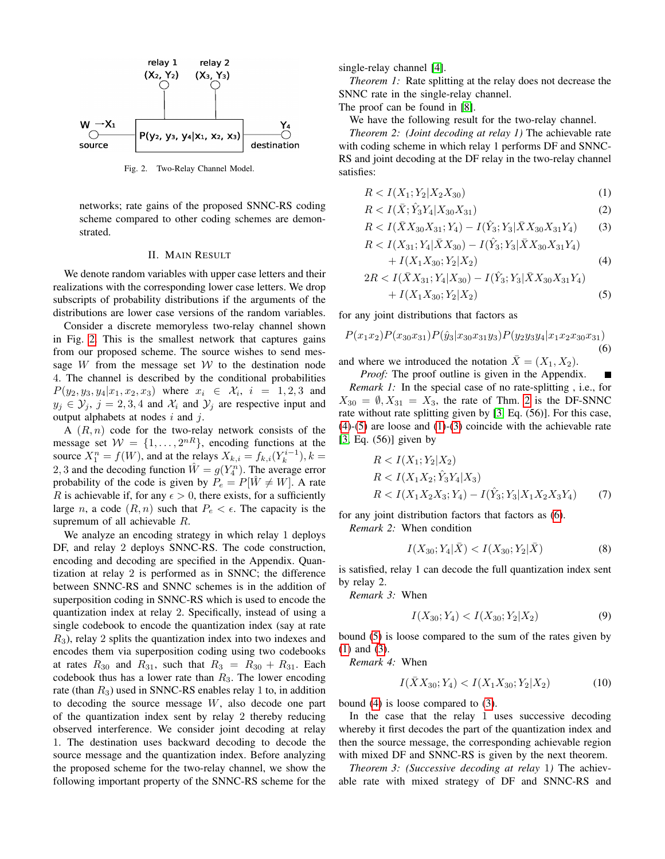

<span id="page-1-0"></span>Fig. 2. Two-Relay Channel Model.

networks; rate gains of the proposed SNNC-RS coding scheme compared to other coding schemes are demonstrated.

## II. MAIN RESULT

We denote random variables with upper case letters and their realizations with the corresponding lower case letters. We drop subscripts of probability distributions if the arguments of the distributions are lower case versions of the random variables.

Consider a discrete memoryless two-relay channel shown in Fig. [2.](#page-1-0) This is the smallest network that captures gains from our proposed scheme. The source wishes to send message  $W$  from the message set  $W$  to the destination node 4. The channel is described by the conditional probabilities  $P(y_2, y_3, y_4 | x_1, x_2, x_3)$  where  $x_i \in \mathcal{X}_i$ ,  $i = 1, 2, 3$  and  $y_j \in \mathcal{Y}_j$ ,  $j = 2, 3, 4$  and  $\mathcal{X}_i$  and  $\mathcal{Y}_j$  are respective input and output alphabets at nodes  $i$  and  $j$ .

A  $(R, n)$  code for the two-relay network consists of the message set  $W = \{1, \ldots, 2^{nR}\}\$ , encoding functions at the source  $X_1^n = f(W)$ , and at the relays  $X_{k,i} = f_{k,i}(Y_k^{i-1}), k =$ 2, 3 and the decoding function  $\hat{W} = g(Y_4^n)$ . The average error probability of the code is given by  $P_e = P[\hat{W} \neq W]$ . A rate R is achievable if, for any  $\epsilon > 0$ , there exists, for a sufficiently large n, a code  $(R, n)$  such that  $P_e < \epsilon$ . The capacity is the supremum of all achievable R.

We analyze an encoding strategy in which relay 1 deploys DF, and relay 2 deploys SNNC-RS. The code construction, encoding and decoding are specified in the Appendix. Quantization at relay 2 is performed as in SNNC; the difference between SNNC-RS and SNNC schemes is in the addition of superposition coding in SNNC-RS which is used to encode the quantization index at relay 2. Specifically, instead of using a single codebook to encode the quantization index (say at rate  $R<sub>3</sub>$ ), relay 2 splits the quantization index into two indexes and encodes them via superposition coding using two codebooks at rates  $R_{30}$  and  $R_{31}$ , such that  $R_3 = R_{30} + R_{31}$ . Each codebook thus has a lower rate than  $R_3$ . The lower encoding rate (than  $R_3$ ) used in SNNC-RS enables relay 1 to, in addition to decoding the source message W, also decode one part of the quantization index sent by relay 2 thereby reducing observed interference. We consider joint decoding at relay 1. The destination uses backward decoding to decode the source message and the quantization index. Before analyzing the proposed scheme for the two-relay channel, we show the following important property of the SNNC-RS scheme for the single-relay channel [\[4\]](#page-4-3).

*Theorem 1:* Rate splitting at the relay does not decrease the SNNC rate in the single-relay channel.

The proof can be found in [\[8\]](#page-4-7).

We have the following result for the two-relay channel.

<span id="page-1-1"></span>*Theorem 2: (Joint decoding at relay 1)* The achievable rate with coding scheme in which relay 1 performs DF and SNNC-RS and joint decoding at the DF relay in the two-relay channel satisfies:

<span id="page-1-4"></span>
$$
R < I(X_1; Y_2 | X_2 X_{30}) \tag{1}
$$

$$
R < I(\bar{X}; \hat{Y}_3 Y_4 | X_{30} X_{31}) \tag{2}
$$

<span id="page-1-5"></span>
$$
R < I(\bar{X}X_{30}X_{31}; Y_4) - I(\hat{Y}_3; Y_3 | \bar{X}X_{30}X_{31}Y_4)
$$
 (3)

<span id="page-1-2"></span>
$$
R < I(X_{31}; Y_4 | \bar{X} X_{30}) - I(\hat{Y}_3; Y_3 | \bar{X} X_{30} X_{31} Y_4) \\
 \quad + I(X_1 X_{30}; Y_2 | X_2) \tag{4}
$$

<span id="page-1-3"></span>
$$
2R < I(\bar{X}X_{31}; Y_4|X_{30}) - I(\hat{Y}_3; Y_3|\bar{X}X_{30}X_{31}Y_4) \\
 \quad + I(X_1X_{30}; Y_2|X_2) \tag{5}
$$

for any joint distributions that factors as

<span id="page-1-6"></span>
$$
P(x_1x_2)P(x_{30}x_{31})P(\hat{y}_3|x_{30}x_{31}y_3)P(y_2y_3y_4|x_1x_2x_{30}x_{31})
$$
\n(6)

and where we introduced the notation  $X = (X_1, X_2)$ .

*Proof:* The proof outline is given in the Appendix. *Remark 1:* In the special case of no rate-splitting , i.e., for  $X_{30} = \emptyset, X_{31} = X_3$ , the rate of Thm. [2](#page-1-1) is the DF-SNNC rate without rate splitting given by [\[3,](#page-4-2) Eq. (56)]. For this case, [\(4\)](#page-1-2)-[\(5\)](#page-1-3) are loose and [\(1\)](#page-1-4)-[\(3\)](#page-1-5) coincide with the achievable rate [\[3,](#page-4-2) Eq. (56)] given by

$$
R < I(X_1; Y_2 | X_2)
$$
\n
$$
R < I(X_1 X_2; \hat{Y}_3 Y_4 | X_3)
$$
\n
$$
R < I(X_1 X_2 X_3; Y_4) - I(\hat{Y}_3; Y_3 | X_1 X_2 X_3 Y_4) \tag{7}
$$

for any joint distribution factors that factors as [\(6\)](#page-1-6). *Remark 2:* When condition

<span id="page-1-8"></span><span id="page-1-7"></span>
$$
I(X_{30}; Y_4|\bar{X}) < I(X_{30}; Y_2|\bar{X}) \tag{8}
$$

is satisfied, relay 1 can decode the full quantization index sent by relay 2.

*Remark 3:* When

$$
I(X_{30}; Y_4) < I(X_{30}; Y_2 | X_2) \tag{9}
$$

bound [\(5\)](#page-1-3) is loose compared to the sum of the rates given by [\(1\)](#page-1-4) and [\(3\)](#page-1-5).

*Remark 4:* When

$$
I(\bar{X}X_{30}; Y_4) < I(X_1X_{30}; Y_2|X_2) \tag{10}
$$

bound [\(4\)](#page-1-2) is loose compared to [\(3\)](#page-1-5).

In the case that the relay 1 uses successive decoding whereby it first decodes the part of the quantization index and then the source message, the corresponding achievable region with mixed DF and SNNC-RS is given by the next theorem.

*Theorem 3: (Successive decoding at relay* 1*)* The achievable rate with mixed strategy of DF and SNNC-RS and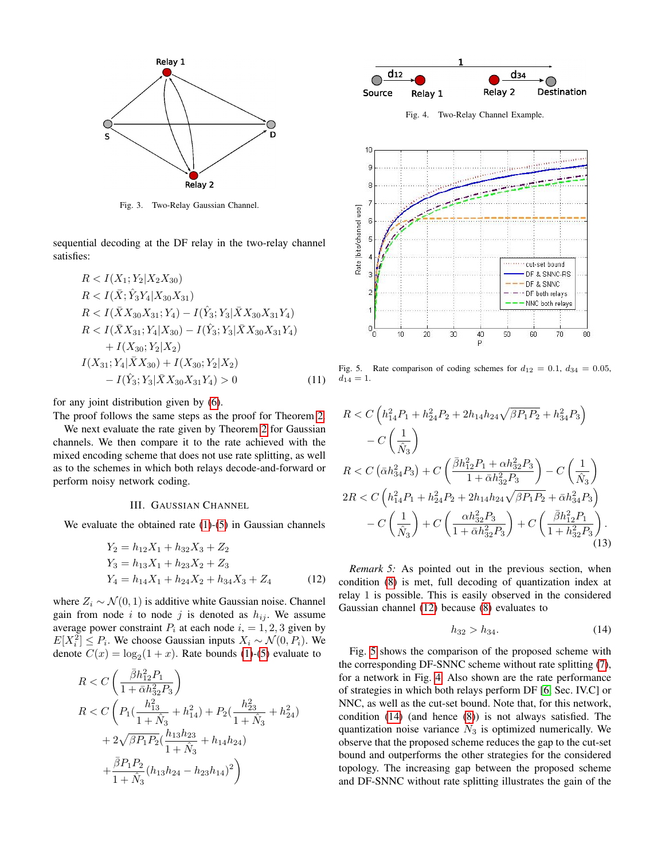

Fig. 3. Two-Relay Gaussian Channel.

sequential decoding at the DF relay in the two-relay channel satisfies:

$$
R < I(X_1; Y_2 | X_2 X_{30})
$$
\n
$$
R < I(\bar{X}; \hat{Y}_3 Y_4 | X_{30} X_{31})
$$
\n
$$
R < I(\bar{X} X_{30} X_{31}; Y_4) - I(\hat{Y}_3; Y_3 | \bar{X} X_{30} X_{31} Y_4)
$$
\n
$$
R < I(\bar{X} X_{31}; Y_4 | X_{30}) - I(\hat{Y}_3; Y_3 | \bar{X} X_{30} X_{31} Y_4)
$$
\n
$$
+ I(X_{30}; Y_2 | X_2)
$$
\n
$$
I(X_{31}; Y_4 | \bar{X} X_{30}) + I(X_{30}; Y_2 | X_2)
$$
\n
$$
- I(\hat{Y}_3; Y_3 | \bar{X} X_{30} X_{31} Y_4) > 0 \tag{11}
$$

for any joint distribution given by [\(6\)](#page-1-6).

The proof follows the same steps as the proof for Theorem [2.](#page-1-1)

We next evaluate the rate given by Theorem [2](#page-1-1) for Gaussian channels. We then compare it to the rate achieved with the mixed encoding scheme that does not use rate splitting, as well as to the schemes in which both relays decode-and-forward or perform noisy network coding.

### III. GAUSSIAN CHANNEL

We evaluate the obtained rate  $(1)-(5)$  $(1)-(5)$  $(1)-(5)$  in Gaussian channels

$$
Y_2 = h_{12}X_1 + h_{32}X_3 + Z_2
$$
  
\n
$$
Y_3 = h_{13}X_1 + h_{23}X_2 + Z_3
$$
  
\n
$$
Y_4 = h_{14}X_1 + h_{24}X_2 + h_{34}X_3 + Z_4
$$
\n(12)

where  $Z_i \sim \mathcal{N}(0, 1)$  is additive white Gaussian noise. Channel gain from node i to node j is denoted as  $h_{ij}$ . We assume average power constraint  $P_i$  at each node  $i = 1, 2, 3$  given by  $E[X_i^2] \le P_i$ . We choose Gaussian inputs  $X_i \sim \mathcal{N}(0, P_i)$ . We denote  $C(x) = \log_2(1+x)$ . Rate bounds [\(1\)](#page-1-4)-[\(5\)](#page-1-3) evaluate to

$$
\begin{aligned} R &< C\left(\frac{\bar{\beta}h_{12}^2P_1}{1+\bar{\alpha}h_{32}^2P_3}\right) \\ R &< C\left(P_1(\frac{h_{13}^2}{1+\hat{N}_3}+h_{14}^2)+P_2(\frac{h_{23}^2}{1+\hat{N}_3}+h_{24}^2)\right. \\ &\left. +2\sqrt{\beta P_1P_2}(\frac{h_{13}h_{23}}{1+\hat{N}_3}+h_{14}h_{24})\right. \\ &\left. +\frac{\bar{\beta}P_1P_2}{1+\hat{N}_3}(h_{13}h_{24}-h_{23}h_{14})^2\right) \end{aligned}
$$



<span id="page-2-2"></span>Fig. 4. Two-Relay Channel Example.



<span id="page-2-1"></span>Fig. 5. Rate comparison of coding schemes for  $d_{12} = 0.1$ ,  $d_{34} = 0.05$ ,  $d_{14} = 1.$ 

$$
R < C\left(h_{14}^2 P_1 + h_{24}^2 P_2 + 2h_{14}h_{24}\sqrt{\beta P_1 P_2} + h_{34}^2 P_3\right) \\
- C\left(\frac{1}{\hat{N}_3}\right) \\
R < C\left(\bar{\alpha}h_{34}^2 P_3\right) + C\left(\frac{\bar{\beta}h_{12}^2 P_1 + \alpha h_{32}^2 P_3}{1 + \bar{\alpha}h_{32}^2 P_3}\right) - C\left(\frac{1}{\hat{N}_3}\right) \\
2R < C\left(h_{14}^2 P_1 + h_{24}^2 P_2 + 2h_{14}h_{24}\sqrt{\beta P_1 P_2} + \bar{\alpha}h_{34}^2 P_3\right) \\
- C\left(\frac{1}{\hat{N}_3}\right) + C\left(\frac{\alpha h_{32}^2 P_3}{1 + \bar{\alpha}h_{32}^2 P_3}\right) + C\left(\frac{\bar{\beta}h_{12}^2 P_1}{1 + h_{32}^2 P_3}\right). \tag{13}
$$

<span id="page-2-0"></span>*Remark 5:* As pointed out in the previous section, when condition [\(8\)](#page-1-7) is met, full decoding of quantization index at relay 1 is possible. This is easily observed in the considered Gaussian channel [\(12\)](#page-2-0) because [\(8\)](#page-1-7) evaluates to

<span id="page-2-3"></span>
$$
h_{32} > h_{34}.\tag{14}
$$

Fig. [5](#page-2-1) shows the comparison of the proposed scheme with the corresponding DF-SNNC scheme without rate splitting [\(7\)](#page-1-8), for a network in Fig. [4.](#page-2-2) Also shown are the rate performance of strategies in which both relays perform DF [\[6,](#page-4-5) Sec. IV.C] or NNC, as well as the cut-set bound. Note that, for this network, condition [\(14\)](#page-2-3) (and hence [\(8\)](#page-1-7)) is not always satisfied. The quantization noise variance  $\hat{N}_3$  is optimized numerically. We observe that the proposed scheme reduces the gap to the cut-set bound and outperforms the other strategies for the considered topology. The increasing gap between the proposed scheme and DF-SNNC without rate splitting illustrates the gain of the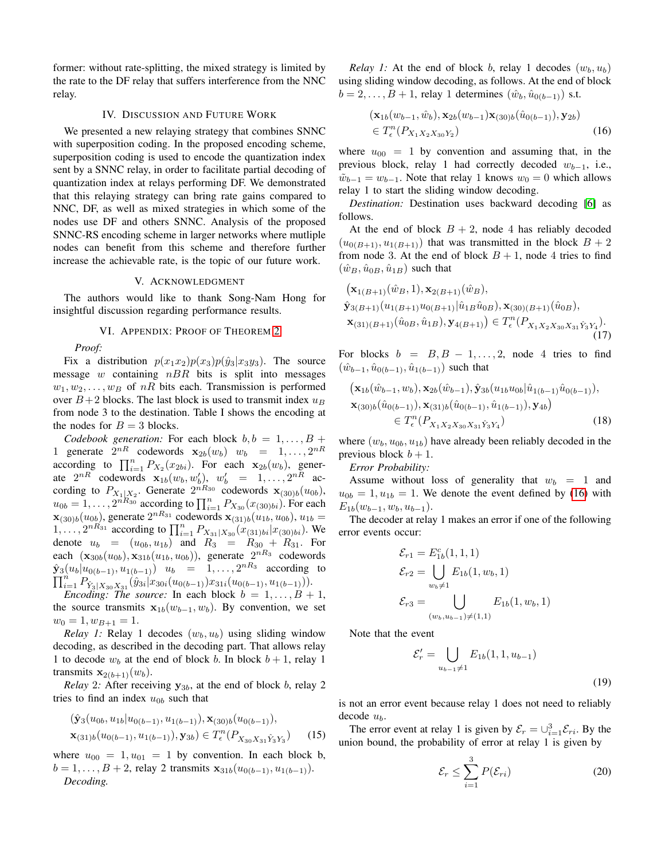former: without rate-splitting, the mixed strategy is limited by the rate to the DF relay that suffers interference from the NNC relay.

# IV. DISCUSSION AND FUTURE WORK

We presented a new relaying strategy that combines SNNC with superposition coding. In the proposed encoding scheme, superposition coding is used to encode the quantization index sent by a SNNC relay, in order to facilitate partial decoding of quantization index at relays performing DF. We demonstrated that this relaying strategy can bring rate gains compared to NNC, DF, as well as mixed strategies in which some of the nodes use DF and others SNNC. Analysis of the proposed SNNC-RS encoding scheme in larger networks where mutliple nodes can benefit from this scheme and therefore further increase the achievable rate, is the topic of our future work.

### V. ACKNOWLEDGMENT

The authors would like to thank Song-Nam Hong for insightful discussion regarding performance results.

### VI. APPENDIX: PROOF OF THEOREM [2](#page-1-1)

*Proof:*

Fix a distribution  $p(x_1x_2)p(x_3)p(\hat{y}_3|x_3y_3)$ . The source message  $w$  containing  $nBR$  bits is split into messages  $w_1, w_2, \ldots, w_B$  of nR bits each. Transmission is performed over  $B+2$  blocks. The last block is used to transmit index  $u_B$ from node 3 to the destination. Table I shows the encoding at the nodes for  $B = 3$  blocks.

*Codebook generation:* For each block  $b, b = 1, \ldots, B +$ 1 generate  $2^{nR}$  codewords  $\mathbf{x}_{2b}(w_b)$   $w_b = 1, \ldots, 2^{nR}$ according to  $\prod_{i=1}^{n} P_{X_2}(x_{2bi})$ . For each  $\mathbf{x}_{2b}(w_b)$ , generate  $2^{nR}$  codewords  $\mathbf{x}_{1b}(w_b, w_b')$ ,  $w_b' = 1, \ldots, 2^{nR}$  according to  $P_{X_1|X_2}$ . Generate  $2^{nR_{30}}$  codewords  $\mathbf{x}_{(30)b}(u_{0b})$ ,  $u_{0b} = 1, \ldots, 2^{nR_{30}}$  according to  $\prod_{i=1}^{n} P_{X_{30}}(x_{(30)bi})$ . For each  $\mathbf{x}_{(30)b}(u_{0b})$ , generate  $2^{nR_{31}}$  codewords  $\mathbf{x}_{(31)b}(u_{1b}, u_{0b})$ ,  $u_{1b} =$  $1, \ldots, 2^{nR_{31}}$  according to  $\prod_{i=1}^{n} P_{X_{31}|X_{30}}(x_{(31)bi}|x_{(30)bi})$ . We denote  $u_b = (u_{0b}, u_{1b})$  and  $R_3 = R_{30} + R_{31}$ . For each  $(\mathbf{x}_{30b}(u_{0b}), \mathbf{x}_{31b}(u_{1b}, u_{0b}))$ , generate  $2^{nR_3}$  codewords  $\hat{\mathbf{y}}_3(u_b|u_{0(b-1)}, u_{1(b-1)})$   $u_b = 1, \ldots, 2^{nR_3}$  according to  $\prod_{i=1}^n P_{\hat{Y}_3|X_{30}X_{31}}(\hat{y}_{3i}|x_{30i}(u_{0(b-1)})x_{31i}(u_{0(b-1)},u_{1(b-1)})).$ 

*Encoding: The source:* In each block  $b = 1, \ldots, B + 1$ , the source transmits  $x_{1b}(w_{b-1}, w_b)$ . By convention, we set  $w_0 = 1, w_{B+1} = 1.$ 

*Relay 1:* Relay 1 decodes  $(w_b, u_b)$  using sliding window decoding, as described in the decoding part. That allows relay 1 to decode  $w_b$  at the end of block b. In block  $b + 1$ , relay 1 transmits  $\mathbf{x}_{2(b+1)}(w_b)$ .

*Relay* 2*:* After receiving  $y_{3b}$ , at the end of block b, relay 2 tries to find an index  $u_{0b}$  such that

$$
(\hat{\mathbf{y}}_3(u_{0b}, u_{1b}|u_{0(b-1)}, u_{1(b-1)}), \mathbf{x}_{(30)b}(u_{0(b-1)}),
$$
  

$$
\mathbf{x}_{(31)b}(u_{0(b-1)}, u_{1(b-1)}), \mathbf{y}_{3b}) \in T_e^n(P_{X_{30}X_{31}\hat{Y}_3Y_3})
$$
 (15)

where  $u_{00} = 1, u_{01} = 1$  by convention. In each block b,  $b = 1, \ldots, B + 2$ , relay 2 transmits  $\mathbf{x}_{31b}(u_{0(b-1)}, u_{1(b-1)}).$ *Decoding.*

*Relay 1:* At the end of block b, relay 1 decodes  $(w_h, u_h)$ using sliding window decoding, as follows. At the end of block  $b = 2, \ldots, B + 1$ , relay 1 determines  $(\hat{w}_b, \hat{u}_{0(b-1)})$  s.t.

<span id="page-3-0"></span>
$$
(\mathbf{x}_{1b}(w_{b-1},\hat{w}_b), \mathbf{x}_{2b}(w_{b-1})\mathbf{x}_{(30)b}(\hat{u}_{0(b-1)}), \mathbf{y}_{2b}) \in T_e^n(P_{X_1X_2X_{30}Y_2})
$$
(16)

where  $u_{00} = 1$  by convention and assuming that, in the previous block, relay 1 had correctly decoded  $w_{b-1}$ , i.e.,  $\tilde{w}_{b-1} = w_{b-1}$ . Note that relay 1 knows  $w_0 = 0$  which allows relay 1 to start the sliding window decoding.

*Destination:* Destination uses backward decoding [\[6\]](#page-4-5) as follows.

At the end of block  $B + 2$ , node 4 has reliably decoded  $(u_{0(B+1)}, u_{1(B+1)})$  that was transmitted in the block  $B + 2$ from node 3. At the end of block  $B + 1$ , node 4 tries to find  $(\hat{w}_B, \hat{u}_{0B}, \hat{u}_{1B})$  such that

$$
(\mathbf{x}_{1(B+1)}(\hat{w}_{B}, 1), \mathbf{x}_{2(B+1)}(\hat{w}_{B}), \n\hat{\mathbf{y}}_{3(B+1)}(u_{1(B+1)}u_{0(B+1)}|\hat{u}_{1B}\hat{u}_{0B}), \mathbf{x}_{(30)(B+1)}(\hat{u}_{0B}), \n\mathbf{x}_{(31)(B+1)}(\hat{u}_{0B}, \hat{u}_{1B}), \mathbf{y}_{4(B+1)}) \in T_{\epsilon}^{n}(P_{X_{1}X_{2}X_{30}X_{31}}\hat{y}_{3}Y_{4}).
$$
\n(17)

For blocks  $b = B, B - 1, \ldots, 2$ , node 4 tries to find  $(\hat{w}_{b-1}, \hat{u}_{0(b-1)}, \hat{u}_{1(b-1)})$  such that

<span id="page-3-1"></span>
$$
(\mathbf{x}_{1b}(\hat{w}_{b-1}, w_b), \mathbf{x}_{2b}(\hat{w}_{b-1}), \hat{\mathbf{y}}_{3b}(u_{1b}u_{0b}|\hat{u}_{1(b-1)}\hat{u}_{0(b-1)}), \n\mathbf{x}_{(30)b}(\hat{u}_{0(b-1)}), \mathbf{x}_{(31)b}(\hat{u}_{0(b-1)}, \hat{u}_{1(b-1)}), \mathbf{y}_{4b}) \in T_e^n(P_{X_1X_2X_{30}X_{31}\hat{Y}_3Y_4})
$$
\n(18)

where  $(w_b, u_{0b}, u_{1b})$  have already been reliably decoded in the previous block  $b + 1$ .

# *Error Probability:*

Assume without loss of generality that  $w_b = 1$  and  $u_{0b} = 1, u_{1b} = 1$ . We denote the event defined by [\(16\)](#page-3-0) with  $E_{1b}(w_{b-1}, w_b, u_{b-1}).$ 

The decoder at relay 1 makes an error if one of the following error events occur:

$$
\mathcal{E}_{r1} = E_{1b}^{c}(1, 1, 1)
$$
  
\n
$$
\mathcal{E}_{r2} = \bigcup_{w_b \neq 1} E_{1b}(1, w_b, 1)
$$
  
\n
$$
\mathcal{E}_{r3} = \bigcup_{(w_b, u_{b-1}) \neq (1, 1)} E_{1b}(1, w_b, 1)
$$

Note that the event

$$
\mathcal{E}'_r = \bigcup_{u_{b-1}\neq 1} E_{1b}(1, 1, u_{b-1})
$$
\n(19)

is not an error event because relay 1 does not need to reliably decode  $u_b$ .

<span id="page-3-2"></span>The error event at relay 1 is given by  $\mathcal{E}_r = \bigcup_{i=1}^3 \mathcal{E}_{ri}$ . By the union bound, the probability of error at relay 1 is given by

$$
\mathcal{E}_r \le \sum_{i=1}^3 P(\mathcal{E}_{ri})
$$
 (20)